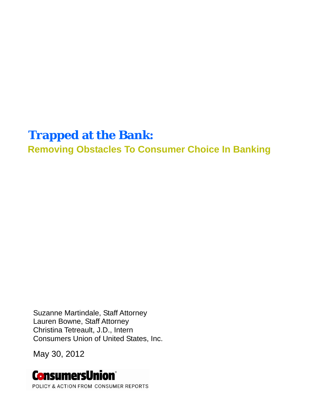# **Trapped at the Bank:**

**Removing Obstacles To Consumer Choice In Banking** 

Suzanne Martindale, Staff Attorney Lauren Bowne, Staff Attorney Christina Tetreault, J.D., Intern Consumers Union of United States, Inc.

May 30, 2012

# **ConsumersUnion**®

POLICY & ACTION FROM CONSUMER REPORTS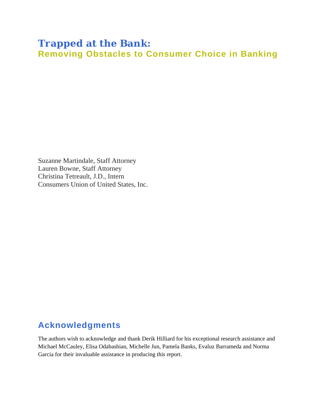# **Trapped at the Bank: Removing Obstacles to Consumer Choice in Banking**

Suzanne Martindale, Staff Attorney Lauren Bowne, Staff Attorney Christina Tetreault, J.D., Intern Consumers Union of United States, Inc.

# **Acknowledgments**

The authors wish to acknowledge and thank Derik Hilliard for his exceptional research assistance and Michael McCauley, Elisa Odabashian, Michelle Jun, Pamela Banks, Evaluz Barrameda and Norma Garcia for their invaluable assistance in producing this report.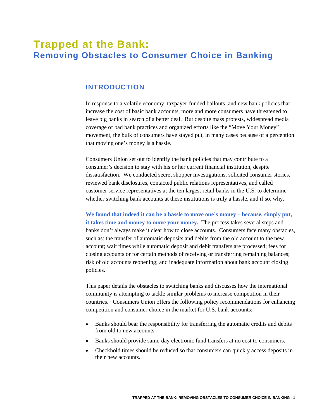# **Trapped at the Bank: Removing Obstacles to Consumer Choice in Banking**

# **INTRODUCTION**

In response to a volatile economy, taxpayer-funded bailouts, and new bank policies that increase the cost of basic bank accounts, more and more consumers have threatened to leave big banks in search of a better deal. But despite mass protests, widespread media coverage of bad bank practices and organized efforts like the "Move Your Money" movement, the bulk of consumers have stayed put, in many cases because of a perception that moving one's money is a hassle.

Consumers Union set out to identify the bank policies that may contribute to a consumer's decision to stay with his or her current financial institution, despite dissatisfaction. We conducted secret shopper investigations, solicited consumer stories, reviewed bank disclosures, contacted public relations representatives, and called customer service representatives at the ten largest retail banks in the U.S. to determine whether switching bank accounts at these institutions is truly a hassle, and if so, why.

**We found that indeed it can be a hassle to move one's money – because, simply put, it takes time and money to move your money.** The process takes several steps and banks don't always make it clear how to close accounts. Consumers face many obstacles, such as: the transfer of automatic deposits and debits from the old account to the new account; wait times while automatic deposit and debit transfers are processed; fees for closing accounts or for certain methods of receiving or transferring remaining balances; risk of old accounts reopening; and inadequate information about bank account closing policies.

This paper details the obstacles to switching banks and discusses how the international community is attempting to tackle similar problems to increase competition in their countries. Consumers Union offers the following policy recommendations for enhancing competition and consumer choice in the market for U.S. bank accounts:

- Banks should bear the responsibility for transferring the automatic credits and debits from old to new accounts.
- Banks should provide same-day electronic fund transfers at no cost to consumers.
- Checkhold times should be reduced so that consumers can quickly access deposits in their new accounts.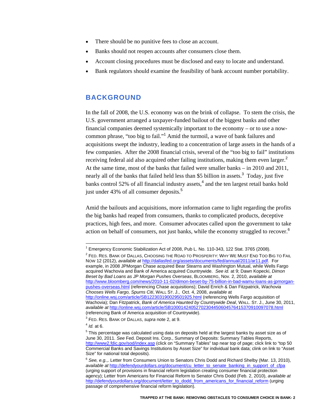- There should be no punitive fees to close an account.
- Banks should not reopen accounts after consumers close them.
- Account closing procedures must be disclosed and easy to locate and understand.
- Bank regulators should examine the feasibility of bank account number portability.

# **BACKGROUND**

In the fall of 2008, the U.S. economy was on the brink of collapse. To stem the crisis, the U.S. government arranged a taxpayer-funded bailout of the biggest banks and other financial companies deemed systemically important to the economy – or to use a nowcommon phrase, "too big to fail."<sup>1</sup> Amid the turmoil, a wave of bank failures and acquisitions swept the industry, leading to a concentration of large assets in the hands of a few companies. After the 2008 financial crisis, several of the "too big to fail" institutions receiving federal aid also acquired other failing institutions, making them even larger.<sup>2</sup> At the same time, most of the banks that failed were smaller banks – in 2010 and 2011, nearly all of the banks that failed held less than \$5 billion in assets.<sup>3</sup> Today, just five banks control 52% of all financial industry assets,<sup>4</sup> and the ten largest retail banks hold just under 43% of all consumer deposits.<sup>5</sup>

Amid the bailouts and acquisitions, more information came to light regarding the profits the big banks had reaped from consumers, thanks to complicated products, deceptive practices, high fees, and more. Consumer advocates called upon the government to take action on behalf of consumers, not just banks, while the economy struggled to recover.<sup>6</sup>

<sup>&</sup>lt;sup>1</sup> Emergency Economic Stabilization Act of 2008, Pub L. No. 110-343, 122 Stat. 3765 (2008).

 $^2$  Fed. Res. Bank of Dallas, Choosing the Road to Prosperity: Why We Must End Too Big to Fail NOW 12 (2012), *available at* http://dallasfed.org/assets/documents/fed/annual/2011/ar11.pdf. For example, in 2008 JPMorgan Chase acquired Bear Stearns and Washington Mutual, while Wells Fargo acquired Wachovia and Bank of America acquired Countrywide. *See id.* at 9; Dawn Kopecki, *Dimon Beset by Bad Loans as JP Morgan Pushes Overseas*, BLOOMBERG, Nov. 2, 2010, *available at* http://www.bloomberg.com/news/2010-11-02/dimon-beset-by-75-billion-in-bad-wamu-loans-as-jpmorganpushes-overseas.html (referencing Chase acquisitions); David Enrich & Dan Fitzpatrick, *Wachovia Chooses Wells Fargo, Spurns Citi*, WALL ST. J., Oct. 4, 2008, *available* at http://online.wsj.com/article/SB122303190029501925.html (referencing Wells Fargo acquisition of Wachovia); Dan Fitzpatrick, *Bank of America Haunted by Countrywide Deal*, WALL. ST. J., June 30, 2011, *available at* http://online.wsj.com/article/SB10001424052702304450604576415370910097078.html (referencing Bank of America acquisition of Countrywide).

<sup>3</sup> FED. RES. BANK OF DALLAS, *supra* note 2, at 9.

<sup>4</sup> *Id.* at 6.

 $5$  This percentage was calculated using data on deposits held at the largest banks by asset size as of June 30, 2011. *See* Fed. Deposit Ins. Corp., Summary of Deposits: Summary Tables Reports, http://www2.fdic.gov/sod/index.asp (click on "Summary Tables" tap near top of page; click link to "top 50 Commercial Banks and Savings Institutions by Asset Size" for individual bank data; clink on link to "Asset Size" for national total deposits).

<sup>6</sup> *See, e.g.*,. Letter from Consumers Union to Senators Chris Dodd and Richard Shelby (Mar. 13, 2010), *available at* http://defendyourdollars.org/document/cu\_letter\_to\_senate\_banking\_in\_support\_of\_cfpa (urging support of provisions in financial reform legislation creating consumer financial protection agency); Letter from Americans for Financial Reform to Senator Chris Dodd (Feb. 2, 2010), *available at* http://defendyourdollars.org/document/letter\_to\_dodd\_from\_americans\_for\_financial\_reform (urging passage of comprehensive financial reform legislation).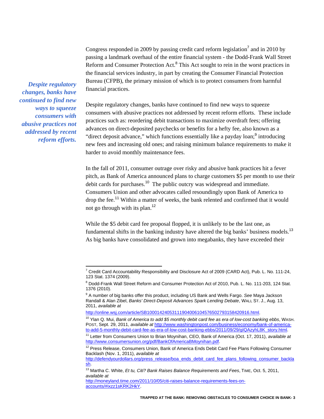Congress responded in 2009 by passing credit card reform legislation<sup>7</sup> and in 2010 by passing a landmark overhaul of the entire financial system - the Dodd-Frank Wall Street Reform and Consumer Protection Act.<sup>8</sup> This Act sought to rein in the worst practices in the financial services industry, in part by creating the Consumer Financial Protection Bureau (CFPB), the primary mission of which is to protect consumers from harmful financial practices.

*Despite regulatory changes, banks have continued to find new ways to squeeze consumers with abusive practices not addressed by recent reform efforts.* 

 $\overline{a}$ 

Despite regulatory changes, banks have continued to find new ways to squeeze consumers with abusive practices not addressed by recent reform efforts. These include practices such as: reordering debit transactions to maximize overdraft fees; offering advances on direct-deposited paychecks or benefits for a hefty fee, also known as a "direct deposit advance," which functions essentially like a payday loan;  $9 \text{ introducing}$ new fees and increasing old ones; and raising minimum balance requirements to make it harder to avoid monthly maintenance fees.

In the fall of 2011, consumer outrage over risky and abusive bank practices hit a fever pitch, as Bank of America announced plans to charge customers \$5 per month to use their debit cards for purchases.<sup>10</sup> The public outcry was widespread and immediate. Consumers Union and other advocates called resoundingly upon Bank of America to drop the fee.<sup>11</sup> Within a matter of weeks, the bank relented and confirmed that it would not go through with its plan.<sup>12</sup>

While the \$5 debit card fee proposal flopped, it is unlikely to be the last one, as fundamental shifts in the banking industry have altered the big banks' business models.<sup>13</sup> As big banks have consolidated and grown into megabanks, they have exceeded their

<sup>&</sup>lt;sup>7</sup> Credit Card Accountability Responsibility and Disclosure Act of 2009 (CARD Act), Pub. L. No. 111-24, 123 Stat. 1374 (2009).

<sup>&</sup>lt;sup>8</sup> Dodd-Frank Wall Street Reform and Consumer Protection Act of 2010, Pub. L. No. 111-203, 124 Stat. 1376 (2010).

<sup>9</sup> A number of big banks offer this product, including US Bank and Wells Fargo. *See* Maya Jackson Randall & Alan Zibel, *Banks' Direct-Deposit Advances Spark Lending Debate*, WALL ST. J., Aug. 13, 2011, *available at* 

http://online.wsj.com/article/SB10001424053111904006104576502793158420916.html.

<sup>10</sup> Ylan Q. Mui, *Bank of America to add \$5 monthly debit card fee as era of low-cost banking ebbs*, WASH. POST, Sept. 29, 2011, *available at* http://www.washingtonpost.com/business/economy/bank-of-americato-add-5-monthly-debit-card-fee-as-era-of-low-cost-banking-ebbs/2011/09/29/gIQAzyhL8K\_story.html.

<sup>11</sup> Letter from Consumers Union to Brian Moynihan, CEO, Bank of America (Oct. 17, 2011), *available at* http://www.consumersunion.org/pdf/BankOfAmericaBMoynihan.pdf.

<sup>&</sup>lt;sup>12</sup> Press Release, Consumers Union, Bank of America Ends Debit Card Fee Plans Following Consumer Backlash (Nov. 1, 2011), *available at*

http://defendyourdollars.org/press\_release/boa\_ends\_debit\_card\_fee\_plans\_following\_consumer\_backla sh.

<sup>13</sup> Martha C. White, *Et tu, Citi? Bank Raises Balance Requirements and Fees*, TIME, Oct. 5, 2011, *available at* 

http://moneyland.time.com/2011/10/05/citi-raises-balance-requirements-fees-onaccounts/#ixzz1sKRK2HkY.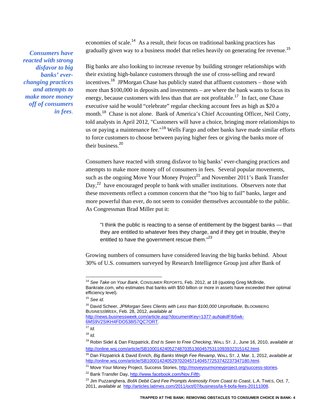economies of scale.<sup>14</sup> As a result, their focus on traditional banking practices has gradually given way to a business model that relies heavily on generating fee revenue.<sup>15</sup>

*Consumers have reacted with strong disfavor to big banks' everchanging practices and attempts to make more money off of consumers in fees*.

Big banks are also looking to increase revenue by building stronger relationships with their existing high-balance customers through the use of cross-selling and reward incentives.<sup>16</sup> JPMorgan Chase has publicly stated that affluent customers – those with more than \$100,000 in deposits and investments – are where the bank wants to focus its energy, because customers with less than that are not profitable.<sup>17</sup> In fact, one Chase executive said he would "celebrate" regular checking account fees as high as \$20 a month.<sup>18</sup> Chase is not alone. Bank of America's Chief Accounting Officer, Neil Cotty, told analysts in April 2012, "Customers will have a choice, bringing more relationships to us or paying a maintenance fee."<sup>19</sup> Wells Fargo and other banks have made similar efforts to force customers to choose between paying higher fees or giving the banks more of their business.<sup>20</sup>

Consumers have reacted with strong disfavor to big banks' ever-changing practices and attempts to make more money off of consumers in fees. Several popular movements, such as the ongoing Move Your Money Project<sup>21</sup> and November 2011's Bank Transfer Day,<sup>22</sup> have encouraged people to bank with smaller institutions. Observers note that these movements reflect a common concern that the "too big to fail" banks, larger and more powerful than ever, do not seem to consider themselves accountable to the public. As Congressman Brad Miller put it:

"I think the public is reacting to a sense of entitlement by the biggest banks — that they are entitled to whatever fees they charge, and if they get in trouble, they're entitled to have the government rescue them."<sup>23</sup>

Growing numbers of consumers have considered leaving the big banks behind. About 30% of U.S. consumers surveyed by Research Intelligence Group just after Bank of

<sup>14</sup> *See Take on Your Bank*, CONSUMER REPORTS, Feb. 2012, at 18 (quoting Greg McBride, Bankrate.com, who estimates that banks with \$50 billion or more in assets have exceeded their optimal efficiency level).

<sup>15</sup> *See id.*

<sup>16</sup> David Scheer, *JPMorgan Sees Clients with Less than \$100,000 Unprofitable*, BLOOMBERG BUSINESSWEEK, Feb. 28, 2012, *available at* http://news.businessweek.com/article.asp?documentKey=1377-auNakdFIb5wk-

<sup>6</sup>MS9V2SIKH4FDO538I57QC7ORT.

<sup>17</sup> *Id.* 

 $18$  *Id.* 

<sup>19</sup> Robin Sidel & Dan Fitzpatrick, *End Is Seen to Free Checking*, WALL ST. J., June 16, 2010, *available at* http://online.wsj.com/article/SB10001424052748703513604575311093932315142.html.

<sup>20</sup> Dan Fitzpatrick & David Enrich, *Big Banks Weigh Fee Revamp*, WALL ST. J, Mar. 1, 2012, *available at*  http://online.wsj.com/article/SB10001424052970204571404577253742237347180.html.

<sup>&</sup>lt;sup>21</sup> Move Your Money Project, Success Stories, http://moveyourmoneyproject.org/success-stories.

<sup>22</sup> Bank Transfer Day, http://www.facebook.com/Nov.Fifth.

<sup>23</sup> Jim Puzzanghera, *BofA Debit Card Fee Prompts Animosity From Coast to Coast*, L.A. TIMES, Oct. 7, 2011, *available at* http://articles.latimes.com/2011/oct/07/business/la-fi-bofa-fees-20111008.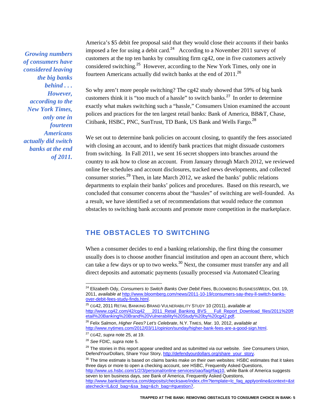*Growing numbers of consumers have considered leaving the big banks behind . . . However, according to the New York Times, only one in fourteen Americans actually did switch banks at the end of 2011.*  America's \$5 debit fee proposal said that they would close their accounts if their banks imposed a fee for using a debit card.<sup>24</sup> According to a November 2011 survey of customers at the top ten banks by consulting firm cg42, one in five customers actively considered switching.<sup>25</sup> However, according to the New York Times, only one in fourteen Americans actually did switch banks at the end of 2011.<sup>26</sup>

So why aren't more people switching? The cg42 study showed that 59% of big bank customers think it is "too much of a hassle" to switch banks.<sup>27</sup> In order to determine exactly what makes switching such a "hassle," Consumers Union examined the account polices and practices for the ten largest retail banks: Bank of America, BB&T, Chase, Citibank, HSBC, PNC, SunTrust, TD Bank, US Bank and Wells Fargo.<sup>28</sup>

We set out to determine bank policies on account closing, to quantify the fees associated with closing an account, and to identify bank practices that might dissuade customers from switching. In Fall 2011, we sent 16 secret shoppers into branches around the country to ask how to close an account. From January through March 2012, we reviewed online fee schedules and account disclosures, tracked news developments, and collected consumer stories.<sup>29</sup> Then, in late March 2012, we asked the banks' public relations departments to explain their banks' polices and procedures. Based on this research, we concluded that consumer concerns about the "hassles" of switching are well-founded. As a result, we have identified a set of recommendations that would reduce the common obstacles to switching bank accounts and promote more competition in the marketplace.

# **THE OBSTACLES TO SWITCHING**

When a consumer decides to end a banking relationship, the first thing the consumer usually does is to choose another financial institution and open an account there, which can take a few days or up to two weeks.<sup>30</sup> Next, the consumer must transfer any and all direct deposits and automatic payments (usually processed via Automated Clearing

 $\overline{a}$ 

 $30$  The time estimate is based on claims banks make on their own websites: HSBC estimates that it takes three days or more to open a checking account, *see* HSBC, Frequently Asked Questions, http://www.us.hsbc.com/1/2/3/personal/online-services/oao/faq#faq10, while Bank of America suggests seven to ten business days, *see* Bank of America, Frequently Asked Questions, http://www.bankofamerica.com/deposits/checksave/index.cfm?template=lc\_faq\_applyonline&context=&st atecheck=IL&cd\_bag=&sa\_bag=&ch\_bag=#question7.

<sup>24</sup> Elizabeth Ody, *Consumers to Switch Banks Over Debit Fees*, BLOOMBERG BUSINESSWEEK, Oct. 19, 2011, *available at* http://www.bloomberg.com/news/2011-10-19/consumers-say-they-ll-switch-banksover-debit-fees-study-finds.html.

<sup>25</sup> CG42, 2011 RETAIL BANKING BRAND VULNERABILITY STUDY 10 (2011), *available at* 2011 Retail Banking BVS Full Report Download files/2011%20R etail%20Banking%20Brand%20Vulnerability%20Study%20by%20cg42.pdf.

<sup>26</sup> Felix Salmon, *Higher Fees? Let's Celebrate*, N.Y. TIMES, Mar. 10, 2012, *available at*  http://www.nytimes.com/2012/03/11/opinion/sunday/higher-bank-fees-are-a-good-sign.html.

<sup>27</sup> CG42, *supra* note 25, at 19.

<sup>28</sup> *See* FDIC, *supra* note 5.

<sup>29</sup> The stories in this report appear unedited and as submitted via our website. *See* Consumers Union, DefendYourDollars, Share Your Story, http://defendyourdollars.org/share\_your\_story.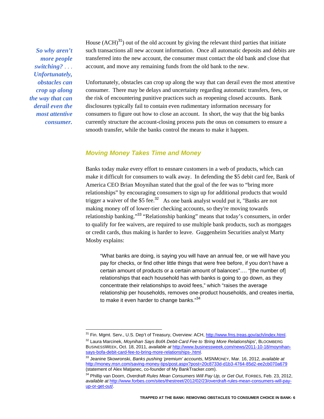*So why aren't more people switching?* . . . *Unfortunately, obstacles can crop up along the way that can derail even the most attentive consumer.* 

 $\overline{a}$ 

House  $(ACH)^{31}$  out of the old account by giving the relevant third parties that initiate such transactions all new account information. Once all automatic deposits and debits are transferred into the new account, the consumer must contact the old bank and close that account, and move any remaining funds from the old bank to the new.

Unfortunately, obstacles can crop up along the way that can derail even the most attentive consumer. There may be delays and uncertainty regarding automatic transfers, fees, or the risk of encountering punitive practices such as reopening closed accounts. Bank disclosures typically fail to contain even rudimentary information necessary for consumers to figure out how to close an account. In short, the way that the big banks currently structure the account-closing process puts the onus on consumers to ensure a smooth transfer, while the banks control the means to make it happen.

#### *Moving Money Takes Time and Money*

Banks today make every effort to ensnare customers in a web of products, which can make it difficult for consumers to walk away. In defending the \$5 debit card fee, Bank of America CEO Brian Moynihan stated that the goal of the fee was to "bring more relationships" by encouraging consumers to sign up for additional products that would trigger a waiver of the  $$5 \text{ fee}$ .<sup>32</sup> As one bank analyst would put it, "Banks are not making money off of lower-tier checking accounts, so they're moving towards relationship banking."<sup>33</sup> "Relationship banking" means that today's consumers, in order to qualify for fee waivers, are required to use multiple bank products, such as mortgages or credit cards, thus making is harder to leave. Guggenheim Securities analyst Marty Mosby explains:

"What banks are doing, is saying you will have an annual fee, or we will have you pay for checks, or find other little things that were free before, if you don't have a certain amount of products or a certain amount of balances"…. "[the number of] relationships that each household has with banks is going to go down, as they concentrate their relationships to avoid fees," which "raises the average relationship per households, removes one-product households, and creates inertia, to make it even harder to change banks."<sup>34</sup>

<sup>&</sup>lt;sup>31</sup> Fin. Mgmt. Serv., U.S. Dep't of Treasury, Overview: ACH, http://www.fms.treas.gov/ach/index.html. 32 Laura Marcinek, *Moynihan Says BofA Debit-Card Fee to 'Bring More Relationships'*, BLOOMBERG BUSINESSWEEK, Oct. 18, 2011, *available at* http://www.businessweek.com/news/2011-10-18/moynihansays-bofa-debit-card-fee-to-bring-more-relationships-.html.

<sup>33</sup> Jeanine Skowronski, *Banks pushing 'premium' accounts*, MSNMONEY, Mar. 16, 2012, *available at* http://money.msn.com/saving-money-tips/post.aspx?post=20c8733d-d1b3-4764-85d2-ee2cb070a679 (statement of Alex Matjanec, co-founder of My BankTracker.com).

<sup>34</sup> Phillip van Doorn, *Overdraft Rules Mean Consumers Will Pay Up, or Get Out*, FORBES, Feb. 23, 2012, *available at* http://www.forbes.com/sites/thestreet/2012/02/23/overdraft-rules-mean-consumers-will-payup-or-get-out/.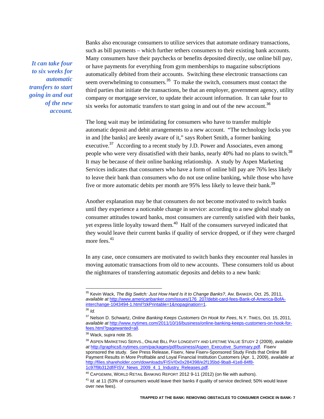*It can take four to six weeks for automatic transfers to start going in and out of the new account.*  Banks also encourage consumers to utilize services that automate ordinary transactions, such as bill payments – which further tethers consumers to their existing bank accounts. Many consumers have their paychecks or benefits deposited directly, use online bill pay, or have payments for everything from gym memberships to magazine subscriptions automatically debited from their accounts. Switching these electronic transactions can seem overwhelming to consumers.<sup>35</sup> To make the switch, consumers must contact the third parties that initiate the transactions, be that an employer, government agency, utility company or mortgage servicer, to update their account information. It can take four to six weeks for automatic transfers to start going in and out of the new account.<sup>36</sup>

The long wait may be intimidating for consumers who have to transfer multiple automatic deposit and debit arrangements to a new account. "The technology locks you in and [the banks] are keenly aware of it," says Robert Smith, a former banking executive.<sup>37</sup> According to a recent study by J.D. Power and Associates, even among people who were very dissatisfied with their banks, nearly 40% had no plans to switch.<sup>38</sup> It may be because of their online banking relationship. A study by Aspen Marketing Services indicates that consumers who have a form of online bill pay are 76% less likely to leave their bank than consumers who do not use online banking, while those who have five or more automatic debits per month are 95% less likely to leave their bank.<sup>39</sup>

Another explanation may be that consumers do not become motivated to switch banks until they experience a noticeable change in service: according to a new global study on consumer attitudes toward banks, most consumers are currently satisfied with their banks, yet express little loyalty toward them.<sup>40</sup> Half of the consumers surveyed indicated that they would leave their current banks if quality of service dropped, or if they were charged more fees.<sup>41</sup>

In any case, once consumers are motivated to switch banks they encounter real hassles in moving automatic transactions from old to new accounts. These consumers told us about the nightmares of transferring automatic deposits and debits to a new bank:

<sup>35</sup> Kevin Wack, *The Big Switch: Just How Hard Is It to Change Banks?*, AM. BANKER, Oct. 25, 2011, *available at* http://www.americanbanker.com/issues/176\_207/debit-card-fees-Bank-of-America-BofAinterchange-1043494-1.html?zkPrintable=1&nopagination=1.

<sup>36</sup> *Id.*

<sup>37</sup> Nelson D. Schwartz, *Online Banking Keeps Customers On Hook for Fees*, N.Y. TIMES, Oct. 15, 2011, *available at* http://www.nytimes.com/2011/10/16/business/online-banking-keeps-customers-on-hook-forfees.html?pagewanted=all.

<sup>38</sup> Wack, *supra* note 35.

<sup>39</sup> ASPEN MARKETING SERVS., ONLINE BILL PAY LONGEVITY AND LIFETIME VALUE STUDY 2 (2009), *available at* http://graphics8.nytimes.com/packages/pdf/business/Aspen\_Executive\_Summary.pdf. Fiserv sponsored the study. *See* Press Release, Fiserv, New Fiserv-Sponsored Study Finds that Online Bill Payment Results in More Profitable and Loyal Financial Institution Customers (Apr. 1, 2009), *available at* http://files.shareholder.com/downloads/FISV/0x0x284398/e2f135bd-9ba8-41e8-84f8- 1c97f9b312df/FISV\_News\_2009\_4\_1\_Industry\_Releases.pdf.

<sup>40</sup> CAPGEMINI, WORLD RETAIL BANKING REPORT 2012 9-11 (2012) (on file with authors).

<sup>&</sup>lt;sup>41</sup> *Id.* at 11 (53% of consumers would leave their banks if quality of service declined; 50% would leave over new fees).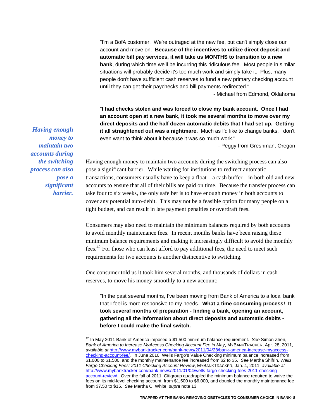"I'm a BofA customer. We're outraged at the new fee, but can't simply close our account and move on. **Because of the incentives to utilize direct deposit and automatic bill pay services, it will take us MONTHS to transition to a new bank**, during which time we'll be incurring this ridiculous fee. Most people in similar situations will probably decide it's too much work and simply take it. Plus, many people don't have sufficient cash reserves to fund a new primary checking account until they can get their paychecks and bill payments redirected." - Michael from Edmond, Oklahoma

"**I had checks stolen and was forced to close my bank account. Once I had an account open at a new bank, it took me several months to move over my direct deposits and the half dozen automatic debits that I had set up. Getting it all straightened out was a nightmare.** Much as I'd like to change banks, I don't even want to think about it because it was so much work."

- Peggy from Greshman, Oregon

*Having enough money to maintain two accounts during the switching process can also pose a significant barrier.* 

 $\overline{a}$ 

Having enough money to maintain two accounts during the switching process can also pose a significant barrier. While waiting for institutions to redirect automatic transactions, consumers usually have to keep a float – a cash buffer – in both old and new accounts to ensure that all of their bills are paid on time. Because the transfer process can take four to six weeks, the only safe bet is to have enough money in both accounts to cover any potential auto-debit. This may not be a feasible option for many people on a tight budget, and can result in late payment penalties or overdraft fees.

Consumers may also need to maintain the minimum balances required by both accounts to avoid monthly maintenance fees. In recent months banks have been raising these minimum balance requirements and making it increasingly difficult to avoid the monthly fees.<sup>42</sup> For those who can least afford to pay additional fees, the need to meet such requirements for two accounts is another disincentive to switching.

One consumer told us it took him several months, and thousands of dollars in cash reserves, to move his money smoothly to a new account:

"In the past several months, I've been moving from Bank of America to a local bank that I feel is more responsive to my needs. **What a time consuming process! It took several months of preparation - finding a bank, opening an account, gathering all the information about direct deposits and automatic debits before I could make the final switch.** 

<sup>42</sup> In May 2011 Bank of America imposed a \$1,500 minimum balance requirement. *See* Simon Zhen, *Bank of America to Increase MyAccess Checking Account Fee in May*, MYBANKTRACKER, Apr. 28, 2011, *available at* http://www.mybanktracker.com/bank-news/2011/04/28/bank-america-increase-myaccesschecking-account-fee/. In June 2010, Wells Fargo's Value Checking minimum balance increased from \$1,000 to \$1,500, and the monthly maintenance fee increased from \$2 to \$5. *See* Martha Shifrin, *Wells Fargo Checking Fees: 2011 Checking Account Review*, MYBANKTRACKER, Jan. 4, 2011, *available at*  http://www.mybanktracker.com/bank-news/2011/01/04/wells-fargo-checking-fees-2011-checkingaccount-review/. Over the fall of 2011, Citigroup quadrupled the minimum balance required to waive the fees on its mid-level checking account, from \$1,500 to \$6,000, and doubled the monthly maintenance fee from \$7.50 to \$15. *See* Martha C. White, *supra* note 13.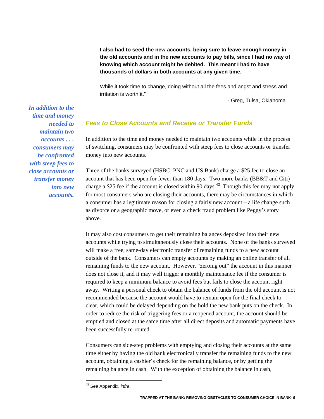**I also had to seed the new accounts, being sure to leave enough money in the old accounts and in the new accounts to pay bills, since I had no way of knowing which account might be debited. This meant I had to have thousands of dollars in both accounts at any given time.** 

While it took time to change, doing without all the fees and angst and stress and irritation is worth it."

- Greg, Tulsa, Oklahoma

# *Fees to Close Accounts and Receive or Transfer Funds*

In addition to the time and money needed to maintain two accounts while in the process of switching, consumers may be confronted with steep fees to close accounts or transfer money into new accounts.

Three of the banks surveyed (HSBC, PNC and US Bank) charge a \$25 fee to close an account that has been open for fewer than 180 days. Two more banks (BB&T and Citi) charge a \$25 fee if the account is closed within 90 days.<sup>43</sup> Though this fee may not apply for most consumers who are closing their accounts, there may be circumstances in which a consumer has a legitimate reason for closing a fairly new account – a life change such as divorce or a geographic move, or even a check fraud problem like Peggy's story above.

It may also cost consumers to get their remaining balances deposited into their new accounts while trying to simultaneously close their accounts. None of the banks surveyed will make a free, same-day electronic transfer of remaining funds to a new account outside of the bank. Consumers can empty accounts by making an online transfer of all remaining funds to the new account. However, "zeroing out" the account in this manner does not close it, and it may well trigger a monthly maintenance fee if the consumer is required to keep a minimum balance to avoid fees but fails to close the account right away. Writing a personal check to obtain the balance of funds from the old account is not recommended because the account would have to remain open for the final check to clear, which could be delayed depending on the hold the new bank puts on the check. In order to reduce the risk of triggering fees or a reopened account, the account should be emptied and closed at the same time after all direct deposits and automatic payments have been successfully re-routed.

Consumers can side-step problems with emptying and closing their accounts at the same time either by having the old bank electronically transfer the remaining funds to the new account, obtaining a cashier's check for the remaining balance, or by getting the remaining balance in cash. With the exception of obtaining the balance in cash,

*time and money needed to maintain two accounts . . . consumers may be confronted with steep fees to close accounts or transfer money into new accounts.*

*In addition to the* 

 $\overline{a}$ <sup>43</sup> *See* Appendix, *infra*.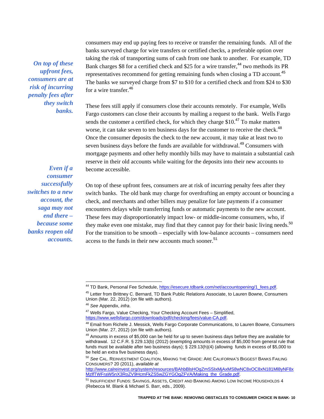*On top of these upfront fees, consumers are at risk of incurring penalty fees after they switch banks.* 

*Even if a* 

consumers may end up paying fees to receive or transfer the remaining funds. All of the banks surveyed charge for wire transfers or certified checks, a preferable option over taking the risk of transporting sums of cash from one bank to another. For example, TD Bank charges \$8 for a certified check and \$25 for a wire transfer,<sup>44</sup> two methods its PR representatives recommend for getting remaining funds when closing a TD account.<sup>45</sup> The banks we surveyed charge from \$7 to \$10 for a certified check and from \$24 to \$30 for a wire transfer.<sup>46</sup>

These fees still apply if consumers close their accounts remotely. For example, Wells Fargo customers can close their accounts by mailing a request to the bank. Wells Fargo sends the customer a certified check, for which they charge  $$10<sup>47</sup>$  To make matters worse, it can take seven to ten business days for the customer to receive the check.<sup>48</sup> Once the consumer deposits the check to the new account, it may take at least two to seven business days before the funds are available for withdrawal.<sup>49</sup> Consumers with mortgage payments and other hefty monthly bills may have to maintain a substantial cash reserve in their old accounts while waiting for the deposits into their new accounts to become accessible.

On top of these upfront fees, consumers are at risk of incurring penalty fees after they *consumer successfully switches to a new account, the saga may not end there – because some banks reopen old accounts.* 

switch banks. The old bank may charge for overdrafting an empty account or bouncing a check, and merchants and other billers may penalize for late payments if a consumer encounters delays while transferring funds or automatic payments to the new account. These fees may disproportionately impact low- or middle-income consumers, who, if they make even one mistake, may find that they cannot pay for their basic living needs.<sup>50</sup> For the transition to be smooth – especially with low-balance accounts – consumers need access to the funds in their new accounts much sooner.<sup>51</sup>

<sup>44</sup> TD Bank, Personal Fee Schedule, https://esecure.tdbank.com/net/accountopening/1\_fees.pdf.

<sup>45</sup> Letter from Brittney C. Bernard, TD Bank Public Relations Associate, to Lauren Bowne, Consumers Union (Mar. 22, 2012) (on file with authors).

<sup>46</sup> *See* Appendix, *infra*.

<sup>&</sup>lt;sup>47</sup> Wells Fargo, Value Checking, Your Checking Account Fees - Simplified, https://www.wellsfargo.com/downloads/pdf/checking/fees/value-CA.pdf.

<sup>48</sup> Email from Richele J. Messick, Wells Fargo Corporate Communications, to Lauren Bowne, Consumers Union (Mar. 27, 2012) (on file with authors).

 $49$  Amounts in excess of \$5,000 can be held for up to seven business days before they are available for withdrawal. 12 C.F.R. § 229.13(b) (2012) (exempting amounts in excess of \$5,000 from general rule that funds must be available after two business days); § 229.13(h)(4) (allowing funds in excess of \$5,000 to be held an extra five business days).

<sup>50</sup> *See* CAL. REINVESTMENT COALITION, MAKING THE GRADE: ARE CALIFORNIA'S BIGGEST BANKS FAILING CONSUMERS? 20 (2011), *available at* 

http://www.calreinvest.org/system/resources/BAhbBlsHOgZmSSIxMjAxMS8wNC8xOC8xN181Ml8yNF8x MzlfTWFraW5nX3RoZV9HcmFkZS5wZGYGOgZFVA/Making\_the\_Grade.pdf.

<sup>&</sup>lt;sup>51</sup> INSUFFICIENT FUNDS: SAVINGS, ASSETS, CREDIT AND BANKING AMONG LOW INCOME HOUSEHOLDS 4 (Rebecca M. Blank & Michael S. Barr, eds., 2009).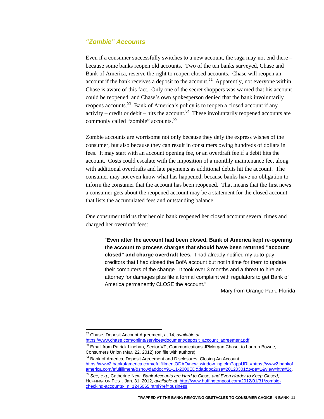# *"Zombie" Accounts*

Even if a consumer successfully switches to a new account, the saga may not end there – because some banks reopen old accounts. Two of the ten banks surveyed, Chase and Bank of America, reserve the right to reopen closed accounts. Chase will reopen an account if the bank receives a deposit to the account.<sup>52</sup> Apparently, not everyone within Chase is aware of this fact. Only one of the secret shoppers was warned that his account could be reopened, and Chase's own spokesperson denied that the bank involuntarily reopens accounts.<sup>53</sup> Bank of America's policy is to reopen a closed account if any activity – credit or debit – hits the account.<sup>54</sup> These involuntarily reopened accounts are commonly called "zombie" accounts.<sup>55</sup>

Zombie accounts are worrisome not only because they defy the express wishes of the consumer, but also because they can result in consumers owing hundreds of dollars in fees. It may start with an account opening fee, or an overdraft fee if a debit hits the account. Costs could escalate with the imposition of a monthly maintenance fee, along with additional overdrafts and late payments as additional debits hit the account. The consumer may not even know what has happened, because banks have no obligation to inform the consumer that the account has been reopened. That means that the first news a consumer gets about the reopened account may be a statement for the closed account that lists the accumulated fees and outstanding balance.

One consumer told us that her old bank reopened her closed account several times and charged her overdraft fees:

"**Even after the account had been closed, Bank of America kept re-opening the account to process charges that should have been returned "account closed" and charge overdraft fees.** I had already notified my auto-pay creditors that I had closed the BofA account but not in time for them to update their computers of the change. It took over 3 months and a threat to hire an attorney for damages plus file a formal complaint with regulators to get Bank of America permanently CLOSE the account."

 *-* Mary from Orange Park, Florida

<sup>52</sup> Chase, Deposit Account Agreement, at 14, *available at* 

https://www.chase.com/online/services/document/deposit\_account\_agreement.pdf.

<sup>53</sup> Email from Patrick Linehan, Senior VP, Communications JPMorgan Chase, to Lauren Bowne, Consumers Union (Mar. 22, 2012) (on file with authors).

<sup>54</sup> Bank of America, Deposit Agreement and Disclosures, Closing An Account, https://www2.bankofamerica.com/efulfillmentODAO/new\_window\_np.cfm?appURL=https://www2.bankof america.com/efulfillment/&showdaddoc=91-11-2000ED&daddoc2use=20120301&type=1&view=htm#2c.

<sup>55</sup> *See, e.g*.*,* Catherine New, *Bank Accounts are Hard to Close, and Even Harder to Keep Closed*, HUFFINGTON POST, Jan. 31, 2012, *available at* http://www.huffingtonpost.com/2012/01/31/zombiechecking-accounts-\_n\_1245065.html?ref=business.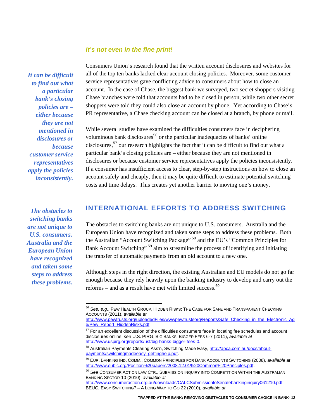## *It's not even in the fine print!*

*It can be difficult to find out what a particular bank's closing policies are – either because they are not mentioned in disclosures or because customer service representatives apply the policies inconsistently.* 

*The obstacles to switching banks are not unique to U.S. consumers. Australia and the European Union have recognized and taken some steps to address these problems.* 

 $\overline{a}$ 

Consumers Union's research found that the written account disclosures and websites for all of the top ten banks lacked clear account closing policies. Moreover, some customer service representatives gave conflicting advice to consumers about how to close an account. In the case of Chase, the biggest bank we surveyed, two secret shoppers visiting Chase branches were told that accounts had to be closed in person, while two other secret shoppers were told they could also close an account by phone. Yet according to Chase's PR representative, a Chase checking account can be closed at a branch, by phone or mail.

While several studies have examined the difficulties consumers face in deciphering voluminous bank disclosures<sup>56</sup> or the particular inadequacies of banks' online disclosures,<sup>57</sup> our research highlights the fact that it can be difficult to find out what a particular bank's closing policies are – either because they are not mentioned in disclosures or because customer service representatives apply the policies inconsistently. If a consumer has insufficient access to clear, step-by-step instructions on how to close an account safely and cheaply, then it may be quite difficult to estimate potential switching costs and time delays. This creates yet another barrier to moving one's money.

# **INTERNATIONAL EFFORTS TO ADDRESS SWITCHING**

The obstacles to switching banks are not unique to U.S. consumers. Australia and the European Union have recognized and taken some steps to address these problems. Both the Australian "Account Switching Package"<sup>58</sup> and the EU's "Common Principles for Bank Account Switching"<sup>59</sup> aim to streamline the process of identifying and initiating the transfer of automatic payments from an old account to a new one.

Although steps in the right direction, the existing Australian and EU models do not go far enough because they rely heavily upon the banking industry to develop and carry out the reforms – and as a result have met with limited success. $60$ 

<sup>56</sup> *See, e.g*., PEW HEALTH GROUP, HIDDEN RISKS: THE CASE FOR SAFE AND TRANSPARENT CHECKING ACCOUNTS (2011), *available at*

http://www.pewtrusts.org/uploadedFiles/wwwpewtrustsorg/Reports/Safe\_Checking\_in\_the\_Electronic\_Ag e/Pew\_Report\_HiddenRisks.pdf.

<sup>&</sup>lt;sup>57</sup> For an excellent discussion of the difficulties consumers face in locating fee schedules and account disclosures online, *see* U.S. PIRG, BIG BANKS, BIGGER FEES 6-7 (2011), *available at* http://www.uspirg.org/reports/usf/big-banks-bigger-fees-0.

<sup>58</sup> Australian Payments Clearing Ass'n, Switching Made Easy, http://apca.com.au/docs/aboutpayments/switchingmadeeasy\_gettinghelp.pdf.

<sup>59</sup> EUR. BANKING IND. COMM., COMMON PRINCIPLES FOR BANK ACCOUNTS SWITCHING (2008), *available at*  http://www.eubic.org/Position%20papers/2008.12.01%20Common%20Principles.pdf.

<sup>60</sup> *See* CONSUMER ACTION LAW CTR., SUBMISSION INQUIRY INTO COMPETITION WITHIN THE AUSTRALIAN BANKING SECTOR 10 (2010), *available at*

http://www.consumeraction.org.au/downloads/CALCSubmissiontoSenatebankinginquiry061210.pdf: BEUC, EASY SWITCHING? – A LONG WAY TO GO 22 (2010), *available at*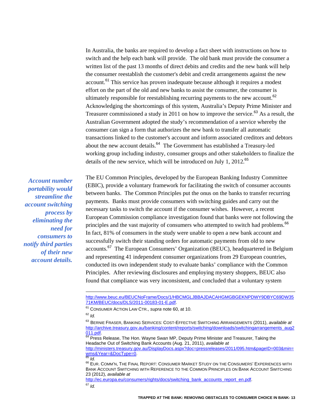In Australia, the banks are required to develop a fact sheet with instructions on how to switch and the help each bank will provide. The old bank must provide the consumer a written list of the past 13 months of direct debits and credits and the new bank will help the consumer reestablish the customer's debit and credit arrangements against the new account.<sup>61</sup> This service has proven inadequate because although it requires a modest effort on the part of the old and new banks to assist the consumer, the consumer is ultimately responsible for reestablishing recurring payments to the new account.<sup>62</sup> Acknowledging the shortcomings of this system, Australia's Deputy Prime Minister and Treasurer commissioned a study in 2011 on how to improve the service.<sup>63</sup> As a result, the Australian Government adopted the study's recommendation of a service whereby the consumer can sign a form that authorizes the new bank to transfer all automatic transactions linked to the customer's account and inform associated creditors and debtors about the new account details.<sup>64</sup> The Government has established a Treasury-led working group including industry, consumer groups and other stakeholders to finalize the details of the new service, which will be introduced on July 1, 2012.<sup>65</sup>

*Account number portability would streamline the account switching process by eliminating the need for consumers to notify third parties of their new account details.* 

The EU Common Principles, developed by the European Banking Industry Committee (EBIC), provide a voluntary framework for facilitating the switch of consumer accounts between banks. The Common Principles put the onus on the banks to transfer recurring payments. Banks must provide consumers with switching guides and carry out the necessary tasks to switch the account if the consumer wishes. However, a recent European Commission compliance investigation found that banks were not following the principles and the vast majority of consumers who attempted to switch had problems.<sup>66</sup> In fact, 81% of consumers in the study were unable to open a new bank account and successfully switch their standing orders for automatic payments from old to new accounts.<sup>67</sup> The European Consumers' Organization (BEUC), headquartered in Belgium and representing 41 independent consumer organizations from 29 European countries, conducted its own independent study to evaluate banks' compliance with the Common Principles. After reviewing disclosures and employing mystery shoppers, BEUC also found that compliance was very inconsistent, and concluded that a voluntary system

 $\overline{a}$ 

http://ec.europa.eu/consumers/rights/docs/switching\_bank\_accounts\_report\_en.pdf. <sup>67</sup> *Id.*

http://www.beuc.eu/BEUCNoFrame/Docs/1/HBCMGLJBBAJDACAHGMGBGEKNPDWY9DBYC69DW35 71KM/BEUC/docs/DLS/2011-00183-01-E.pdf.

<sup>61</sup> CONSUMER ACTION LAW CTR., *supra* note 60, at 10.

 $62$  *Id.* 

<sup>63</sup> BERNIE FRASER, BANKING SERVICES: COST-EFFECTIVE SWITCHING ARRANGEMENTS (2011), *available at* http://archive.treasury.gov.au/banking/content/reports/switching/downloads/switchingarrangements\_aug2

<sup>011.</sup>pdf.<br><sup>64</sup> Press Release, The Hon. Wayne Swan MP, Deputy Prime Minister and Treasurer, Taking the Headache Out of Switching Bank Accounts (Aug. 21, 2011), *available at*

http://ministers.treasury.gov.au/DisplayDocs.aspx?doc=pressreleases/2011/095.htm&pageID=003&min=<br>wms&Year=&DocType=0.

www.compositem<br><sup>65</sup> *Id.*<br><sup>66</sup> EUR. COMM'N, THE FINAL REPORT: CONSUMER MARKET STUDY ON THE CONSUMERS' EXPERIENCES WITH BANK ACCOUNT SWITCHING WITH REFERENCE TO THE COMMON PRINCIPLES ON BANK ACCOUNT SWITCHING 23 (2012), *available at*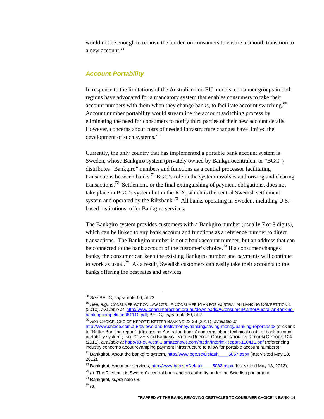would not be enough to remove the burden on consumers to ensure a smooth transition to a new account.<sup>68</sup>

### *Account Portability*

In response to the limitations of the Australian and EU models, consumer groups in both regions have advocated for a mandatory system that enables consumers to take their account numbers with them when they change banks, to facilitate account switching.<sup>69</sup> Account number portability would streamline the account switching process by eliminating the need for consumers to notify third parties of their new account details. However, concerns about costs of needed infrastructure changes have limited the development of such systems.<sup>70</sup>

Currently, the only country that has implemented a portable bank account system is Sweden, whose Bankgiro system (privately owned by Bankgirocentralen, or "BGC") distributes "Bankgiro" numbers and functions as a central processor facilitating transactions between banks.<sup>71</sup> BGC's role in the system involves authorizing and clearing transactions.<sup>72</sup> Settlement, or the final extinguishing of payment obligations, does not take place in BGC's system but in the RIX, which is the central Swedish settlement system and operated by the Riksbank.<sup>73</sup> All banks operating in Sweden, including U.S.based institutions, offer Bankgiro services.

The Bankgiro system provides customers with a Bankgiro number (usually 7 or 8 digits), which can be linked to any bank account and functions as a reference number to direct transactions. The Bankgiro number is not a bank account number, but an address that can be connected to the bank account of the customer's choice.<sup>74</sup> If a consumer changes banks, the consumer can keep the existing Bankgiro number and payments will continue to work as usual.<sup>75</sup> As a result, Swedish customers can easily take their accounts to the banks offering the best rates and services.

<sup>70</sup> *See* CHOICE, CHOICE REPORT: BETTER BANKING 28-29 (2011), *available at* http://www.choice.com.au/reviews-and-tests/money/banking/saving-money/banking-report.aspx (click link to "Better Banking report") (discussing Australian banks' concerns about technical costs of bank account portability system); IND. COMM'N ON BANKING, INTERIM REPORT: CONSULTATION ON REFORM OPTIONS 124 (2011), *available at* http://s3-eu-west-1.amazonaws.com/htcdn/Interim-Report-110411.pdf (referencing industry concerns about revamping payment infrastructure to allow for portable account numbers).

<sup>75</sup> *Id.* 

<sup>68</sup> *See* BEUC, *supra* note 60, at 22.

<sup>69</sup> *See, e.g*., CONSUMER ACTION LAW CTR., A CONSUMER PLAN FOR AUSTRALIAN BANKING COMPETITION 1 (2010), *available at* http://www.consumeraction.org.au/downloads/AConsumerPlanforAustralianBankingbankingcompetition081110.pdf; BEUC, *supra* note 60, at 2.

<sup>&</sup>lt;sup>71</sup> Bankgirot, About the bankgiro system, http://www.bgc.se/Default  $\qquad$  5057.aspx (last visited May 18, 2012).

 $72$  Bankgirot, About our services, http://www.bgc.se/Default  $-$  5032.aspx (last visited May 18, 2012).

<sup>73</sup> *Id.* The Riksbank is Sweden's central bank and an authority under the Swedish parliament.

<sup>74</sup> Bankgirot, *supra* note 68.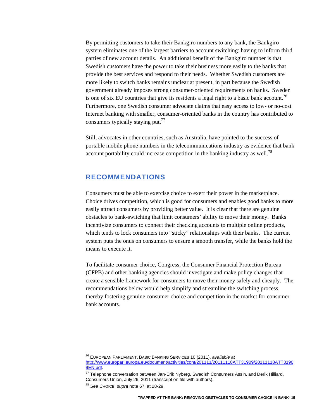By permitting customers to take their Bankgiro numbers to any bank, the Bankgiro system eliminates one of the largest barriers to account switching: having to inform third parties of new account details. An additional benefit of the Bankgiro number is that Swedish customers have the power to take their business more easily to the banks that provide the best services and respond to their needs. Whether Swedish customers are more likely to switch banks remains unclear at present, in part because the Swedish government already imposes strong consumer-oriented requirements on banks. Sweden is one of six EU countries that give its residents a legal right to a basic bank account.<sup>76</sup> Furthermore, one Swedish consumer advocate claims that easy access to low- or no-cost Internet banking with smaller, consumer-oriented banks in the country has contributed to consumers typically staying put.<sup>77</sup>

Still, advocates in other countries, such as Australia, have pointed to the success of portable mobile phone numbers in the telecommunications industry as evidence that bank account portability could increase competition in the banking industry as well.<sup>78</sup>

# **RECOMMENDATIONS**

Consumers must be able to exercise choice to exert their power in the marketplace. Choice drives competition, which is good for consumers and enables good banks to more easily attract consumers by providing better value. It is clear that there are genuine obstacles to bank-switching that limit consumers' ability to move their money. Banks incentivize consumers to connect their checking accounts to multiple online products, which tends to lock consumers into "sticky" relationships with their banks. The current system puts the onus on consumers to ensure a smooth transfer, while the banks hold the means to execute it.

To facilitate consumer choice, Congress, the Consumer Financial Protection Bureau (CFPB) and other banking agencies should investigate and make policy changes that create a sensible framework for consumers to move their money safely and cheaply. The recommendations below would help simplify and streamline the switching process, thereby fostering genuine consumer choice and competition in the market for consumer bank accounts.

<sup>76</sup> EUROPEAN PARLIAMENT, BASIC BANKING SERVICES 10 (2011), *available at* http://www.europarl.europa.eu/document/activities/cont/201111/20111118ATT31909/20111118ATT3190 9EN.pdf.

 $77$  Telephone conversation between Jan-Erik Nyberg, Swedish Consumers Ass'n, and Derik Hilliard, Consumers Union, July 26, 2011 (transcript on file with authors).

<sup>78</sup> *See* CHOICE, *supra* note 67, at 28-29.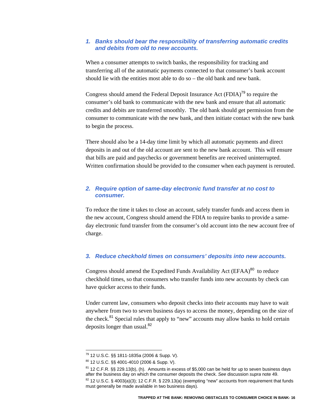### *1. Banks should bear the responsibility of transferring automatic credits and debits from old to new accounts.*

When a consumer attempts to switch banks, the responsibility for tracking and transferring all of the automatic payments connected to that consumer's bank account should lie with the entities most able to do so – the old bank and new bank.

Congress should amend the Federal Deposit Insurance Act  $(FDIA)^{79}$  to require the consumer's old bank to communicate with the new bank and ensure that all automatic credits and debits are transferred smoothly. The old bank should get permission from the consumer to communicate with the new bank, and then initiate contact with the new bank to begin the process.

There should also be a 14-day time limit by which all automatic payments and direct deposits in and out of the old account are sent to the new bank account. This will ensure that bills are paid and paychecks or government benefits are received uninterrupted. Written confirmation should be provided to the consumer when each payment is rerouted.

## *2. Require option of same-day electronic fund transfer at no cost to consumer.*

To reduce the time it takes to close an account, safely transfer funds and access them in the new account, Congress should amend the FDIA to require banks to provide a sameday electronic fund transfer from the consumer's old account into the new account free of charge.

# *3. Reduce checkhold times on consumers' deposits into new accounts.*

Congress should amend the Expedited Funds Availability Act (EFAA)<sup>80</sup> to reduce checkhold times, so that consumers who transfer funds into new accounts by check can have quicker access to their funds.

Under current law, consumers who deposit checks into their accounts may have to wait anywhere from two to seven business days to access the money, depending on the size of the check.<sup>81</sup> Special rules that apply to "new" accounts may allow banks to hold certain deposits longer than usual.<sup>82</sup>

<sup>79 12</sup> U.S.C. §§ 1811-1835a (2006 & Supp. V).

<sup>80 12</sup> U.S.C. §§ 4001-4010 (2006 & Supp. V).

 $81$  12 C.F.R. §§ 229.13(b), (h). Amounts in excess of \$5,000 can be held for up to seven business days after the business day on which the consumer deposits the check. *See* discussion *supra* note 49.  $82$  12 U.S.C. § 4003(a)(3); 12 C.F.R. § 229.13(a) (exempting "new" accounts from requirement that funds must generally be made available in two business days).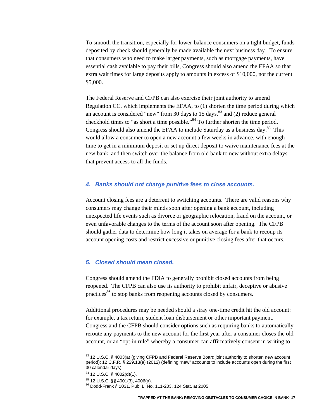To smooth the transition, especially for lower-balance consumers on a tight budget, funds deposited by check should generally be made available the next business day. To ensure that consumers who need to make larger payments, such as mortgage payments, have essential cash available to pay their bills, Congress should also amend the EFAA so that extra wait times for large deposits apply to amounts in excess of \$10,000, not the current \$5,000.

The Federal Reserve and CFPB can also exercise their joint authority to amend Regulation CC, which implements the EFAA, to (1) shorten the time period during which an account is considered "new" from 30 days to 15 days,  $83$  and (2) reduce general checkhold times to "as short a time possible."<sup>84</sup> To further shorten the time period, Congress should also amend the EFAA to include Saturday as a business day.<sup>85</sup> This would allow a consumer to open a new account a few weeks in advance, with enough time to get in a minimum deposit or set up direct deposit to waive maintenance fees at the new bank, and then switch over the balance from old bank to new without extra delays that prevent access to all the funds.

#### *4. Banks should not charge punitive fees to close accounts.*

Account closing fees are a deterrent to switching accounts. There are valid reasons why consumers may change their minds soon after opening a bank account, including unexpected life events such as divorce or geographic relocation, fraud on the account, or even unfavorable changes to the terms of the account soon after opening. The CFPB should gather data to determine how long it takes on average for a bank to recoup its account opening costs and restrict excessive or punitive closing fees after that occurs.

### *5. Closed should mean closed.*

Congress should amend the FDIA to generally prohibit closed accounts from being reopened. The CFPB can also use its authority to prohibit unfair, deceptive or abusive practices<sup>86</sup> to stop banks from reopening accounts closed by consumers.

Additional procedures may be needed should a stray one-time credit hit the old account: for example, a tax return, student loan disbursement or other important payment. Congress and the CFPB should consider options such as requiring banks to automatically reroute any payments to the new account for the first year after a consumer closes the old account, or an "opt-in rule" whereby a consumer can affirmatively consent in writing to

<sup>&</sup>lt;sup>83</sup> 12 U.S.C. § 4003(a) (giving CFPB and Federal Reserve Board joint authority to shorten new account period); 12 C.F.R. § 229.13(a) (2012) (defining "new" accounts to include accounts open during the first 30 calendar days).

 $84$  12 U.S.C. § 4002(d)(1).

 $^{85}$  12 U.S.C. §§ 4001(3), 4006(a).<br><sup>86</sup> Dodd-Frank § 1031, Pub. L. No. 111-203, 124 Stat. at 2005.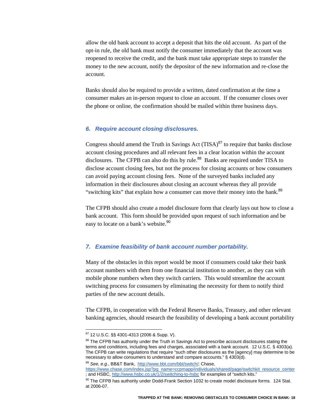allow the old bank account to accept a deposit that hits the old account. As part of the opt-in rule, the old bank must notify the consumer immediately that the account was reopened to receive the credit, and the bank must take appropriate steps to transfer the money to the new account, notify the depositor of the new information and re-close the account.

Banks should also be required to provide a written, dated confirmation at the time a consumer makes an in-person request to close an account. If the consumer closes over the phone or online, the confirmation should be mailed within three business days.

#### *6. Require account closing disclosures.*

Congress should amend the Truth in Savings Act  $(TISA)^{87}$  to require that banks disclose account closing procedures and all relevant fees in a clear location within the account disclosures. The CFPB can also do this by rule.<sup>88</sup> Banks are required under TISA to disclose account closing fees, but not the process for closing accounts or how consumers can avoid paying account closing fees. None of the surveyed banks included any information in their disclosures about closing an account whereas they all provide "switching kits" that explain how a consumer can move their money into the bank.<sup>89</sup>

The CFPB should also create a model disclosure form that clearly lays out how to close a bank account. This form should be provided upon request of such information and be easy to locate on a bank's website.<sup>90</sup>

#### *7. Examine feasibility of bank account number portability.*

Many of the obstacles in this report would be moot if consumers could take their bank account numbers with them from one financial institution to another, as they can with mobile phone numbers when they switch carriers. This would streamline the account switching process for consumers by eliminating the necessity for them to notify third parties of the new account details.

The CFPB, in cooperation with the Federal Reserve Banks, Treasury, and other relevant banking agencies, should research the feasibility of developing a bank account portability

 $\overline{a}$ 

<sup>89</sup> *See, e.g.*, BB&T Bank, http://www.bbt.com/bbt/switch/; Chase,

https://www.chase.com/index.jsp?pg\_name=ccpmapp/individuals/shared/page/switchkit\_resource\_center ; and HSBC, http://www.hsbc.co.uk/1/2/switching-to-hsbc for examples of "switch kits."

<sup>87 12</sup> U.S.C. §§ 4301-4313 (2006 & Supp. V).

<sup>&</sup>lt;sup>88</sup> The CFPB has authority under the Truth in Savings Act to prescribe account disclosures stating the terms and conditions, including fees and charges, associated with a bank account. 12 U.S.C. § 4303(a). The CFPB can write regulations that require "such other disclosures as the [agency] may determine to be necessary to allow consumers to understand and compare accounts." § 4303(d).

 $90$  The CFPB has authority under Dodd-Frank Section 1032 to create model disclosure forms. 124 Stat. at 2006-07.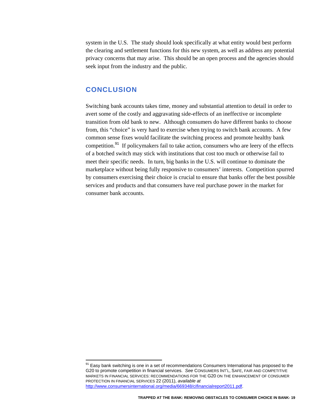system in the U.S. The study should look specifically at what entity would best perform the clearing and settlement functions for this new system, as well as address any potential privacy concerns that may arise. This should be an open process and the agencies should seek input from the industry and the public.

# **CONCLUSION**

 $\overline{a}$ 

Switching bank accounts takes time, money and substantial attention to detail in order to avert some of the costly and aggravating side-effects of an ineffective or incomplete transition from old bank to new. Although consumers do have different banks to choose from, this "choice" is very hard to exercise when trying to switch bank accounts. A few common sense fixes would facilitate the switching process and promote healthy bank competition.<sup>91</sup> If policymakers fail to take action, consumers who are leery of the effects of a botched switch may stick with institutions that cost too much or otherwise fail to meet their specific needs. In turn, big banks in the U.S. will continue to dominate the marketplace without being fully responsive to consumers' interests. Competition spurred by consumers exercising their choice is crucial to ensure that banks offer the best possible services and products and that consumers have real purchase power in the market for consumer bank accounts.

 $91$  Easy bank switching is one in a set of recommendations Consumers International has proposed to the G20 to promote competition in financial services. *See* CONSUMERS INT'L, SAFE, FAIR AND COMPETITIVE MARKETS IN FINANCIAL SERVICES: RECOMMENDATIONS FOR THE G20 ON THE ENHANCEMENT OF CONSUMER PROTECTION IN FINANCIAL SERVICES 22 (2011), *available at* http://www.consumersinternational.org/media/669348/cifinancialreport2011.pdf.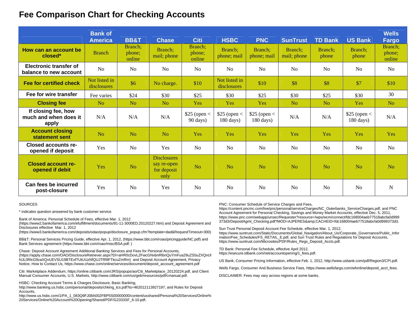# **Fee Comparison Chart for Checking Accounts**

|                                                       | <b>Bank of</b><br><b>America</b> | <b>BB&amp;T</b>             | <b>Chase</b>                                             | <b>Citi</b>                         | <b>HSBC</b>                           | <b>PNC</b>                          | <b>SunTrust</b>        | <b>TD Bank</b>   | <b>US Bank</b>                       | <b>Wells</b><br>Fargo       |
|-------------------------------------------------------|----------------------------------|-----------------------------|----------------------------------------------------------|-------------------------------------|---------------------------------------|-------------------------------------|------------------------|------------------|--------------------------------------|-----------------------------|
| How can an account be<br>closed*                      | <b>Branch</b>                    | Branch:<br>phone;<br>online | Branch;<br>mail; phone                                   | Branch:<br>phone;<br>online         | Branch;<br>phone; mail                | Branch;<br>phone; mail              | Branch;<br>mail; phone | Branch;<br>phone | Branch:<br>phone                     | Branch;<br>phone;<br>online |
| Electronic transfer of<br>balance to new account      | No                               | No                          | N <sub>o</sub>                                           | N <sub>0</sub>                      | No                                    | N <sub>0</sub>                      | No                     | No               | N <sub>o</sub>                       | N <sub>o</sub>              |
| <b>Fee for certified check</b>                        | Not listed in<br>disclosures     | \$6                         | No charge.                                               | \$10                                | Not listed in<br>disclosures          | \$10                                | \$8                    | \$8              | \$7                                  | \$10                        |
| Fee for wire transfer                                 | Fee varies                       | \$24                        | \$30                                                     | \$25                                | \$30                                  | \$25                                | \$30                   | \$25             | \$30                                 | 30                          |
| <b>Closing fee</b>                                    | N <sub>o</sub>                   | N <sub>o</sub>              | N <sub>o</sub>                                           | Yes                                 | <b>Yes</b>                            | <b>Yes</b>                          | N <sub>o</sub>         | N <sub>o</sub>   | <b>Yes</b>                           | N <sub>o</sub>              |
| If closing fee, how<br>much and when does it<br>apply | N/A                              | N/A                         | N/A                                                      | \$25 (open <<br>$90 \text{ days}$ ) | $$25$ (open <<br>$180 \text{ days}$ ) | $$25$ (open <<br>$180 \text{ days}$ | N/A                    | N/A              | \$25 (open <<br>$180 \text{ days}$ ) | N/A                         |
| <b>Account closing</b><br>statement sent              | No                               | N <sub>o</sub>              | N <sub>o</sub>                                           | Yes                                 | Yes                                   | <b>Yes</b>                          | Yes                    | Yes              | Yes                                  | Yes                         |
| Closed accounts re-<br>opened if deposit              | Yes                              | N <sub>o</sub>              | Yes                                                      | N <sub>o</sub>                      | N <sub>o</sub>                        | N <sub>o</sub>                      | No                     | N <sub>o</sub>   | N <sub>o</sub>                       | N <sub>o</sub>              |
| <b>Closed account re-</b><br>opened if debit          | Yes                              | N <sub>o</sub>              | <b>Disclosures</b><br>say re-open<br>for deposit<br>only | N <sub>o</sub>                      | <b>No</b>                             | No                                  | N <sub>0</sub>         | No               | N <sub>o</sub>                       | N <sub>o</sub>              |
| Can fees be incurred<br>post-closure                  | Yes                              | N <sub>o</sub>              | Yes                                                      | N <sub>0</sub>                      | N <sub>o</sub>                        | N <sub>0</sub>                      | No                     | N <sub>o</sub>   | N <sub>o</sub>                       | $\mathbf N$                 |

#### SOURCES

\* indicates question answered by bank customer service

Bank of America: Personal Schedule of Fees, effective Mar. 1, 2012

(https://www2.bankofamerica.com/efulfillment/documents/91-11-3000ED.20120227.htm) and Deposit Agreement and Disclosures effective Mar. 1, 2012

(https://www3.bankofamerica.com/deposits/odao/popup/disclosure\_popup.cfm?template=dad&RequestTimeout=300)

BB&T: Personal Services Pricing Guide, effective Apr. 1, 2012, (https://www.bbt.com/roao/pricingguide/NC.pdf) and Bank Services agreement (https://www.bbt.com/roao/misc/BSA.pdf: )

Chase: Deposit Account Agreement Additional Banking Services and Fees for Personal Accounts, (https://apply.chase.com/OAO/DisclosureRetriever.aspx?DI=aHR0cDovL2FwcGNvbnRlbnQuYmFua29uZS5uZXQvUl NJL0RlcG9zaXQvUEVSU19BTExfTUtUUzNfQUJTRl9FTkcuZmRm) and Deposit Account Agreement, Privacy Notice, How to Contact Us, https://www.chase.com/online/services/document/deposit\_account\_agreement.pdf

Citi: Marketplace Addendum, https://online.citibank.com/JRS/popups/ao/Citi\_Marketplace\_20120224.pdf, and Client Manual Consumer Accounts, U.S. Markets, http://www.citibank.com/us/geb/resources/pdf/cmanual.pdf.

HSBC: Checking Account Terms & Charges Disclosure, Basic Banking,

http://www.banking.us.hsbc.com/personal/deposits/chking\_tcs.pdf?ts=462012113927197, and Rules for Deposit Accounts,

http://www.us.hsbc.com/1/PA\_1\_083Q9FJ08A002FBP5S00000000/content/usshared/Personal%20Services/Online% 20Services/Online%20Account%20Opening/Shared/PDF/G2333SF\_6-10.pdf.

PNC: Consumer Schedule of Service Charges and Fees,

https://content.pncmc.com/live/pnc/personal/serviceCharges/NC\_Outerbanks\_ServiceCharges.pdf, and PNC Account Agreement for Personal Checking, Savings and Money Market Accounts, effective Dec. 5, 2011, https://www.pnc.com/webapp/unsec/Requester?resource=/wps/wcm/connect/fdc168004aeb77518abcfa0d999 373d3/DepositAgmt\_Checking.pdf?MOD=AJPERES&amp:CACHEID=fdc168004aeb77518abcfa0d999373d3.

Sun Trust Personal Deposit Account Fee Schedule, effective Mar. 1, 2012, https://www.suntrust.com/Static/Documents/Global\_Navigation/About\_Us/Corporate\_Governance/Public\_Infor mation/Fee\_Schedules/FS\_RETAIL\_E.pdf, and Sun Trust Rules and Regulations for Deposit Accounts, https://www.suntrust.com/Microsites/PDF/Rules\_Regs\_Deposit\_Accts.pdf.

TD Bank: Personal Fee Schedule, effective April 2012, https://esecure.tdbank.com/net/accountopening/1\_fees.pdf.

US Bank, Consumer Pricing Information, effective Feb. 1, 2012, http://www.usbank.com/pdf/Region3/CPI.pdf.

Wells Fargo, Consumer And Business Service Fees, https://www.wellsfargo.com/wfonline/deposit\_acct\_fees.

DISCLAIMER: Fees may vary across regions at some banks.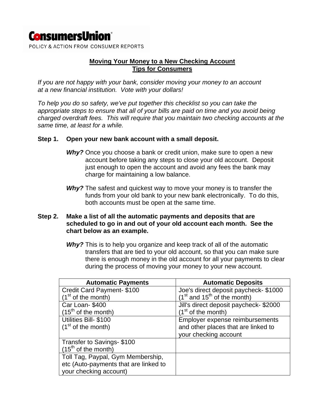# **ConsumersUnion**®

POLICY & ACTION FROM CONSUMER REPORTS

# **Moving Your Money to a New Checking Account Tips for Consumers**

*If you are not happy with your bank, consider moving your money to an account at a new financial institution. Vote with your dollars!* 

*To help you do so safety, we've put together this checklist so you can take the appropriate steps to ensure that all of your bills are paid on time and you avoid being charged overdraft fees. This will require that you maintain two checking accounts at the same time, at least for a while.* 

## **Step 1. Open your new bank account with a small deposit.**

- *Why?* Once you choose a bank or credit union, make sure to open a new account before taking any steps to close your old account. Deposit just enough to open the account and avoid any fees the bank may charge for maintaining a low balance.
- *Why?* The safest and quickest way to move your money is to transfer the funds from your old bank to your new bank electronically. To do this, both accounts must be open at the same time.

# **Step 2. Make a list of all the automatic payments and deposits that are scheduled to go in and out of your old account each month. See the chart below as an example.**

**Why?** This is to help you organize and keep track of all of the automatic transfers that are tied to your old account, so that you can make sure there is enough money in the old account for all your payments to clear during the process of moving your money to your new account.

| <b>Automatic Payments</b>             | <b>Automatic Deposits</b>              |
|---------------------------------------|----------------------------------------|
| Credit Card Payment- \$100            | Joe's direct deposit paycheck-\$1000   |
| $(1st$ of the month)                  | $(1st$ and $15th$ of the month)        |
| Car Loan-\$400                        | Jill's direct deposit paycheck- \$2000 |
| $(15th$ of the month)                 | $(1st$ of the month)                   |
| Utilities Bill- \$100                 | Employer expense reimbursements        |
| $(1st$ of the month)                  | and other places that are linked to    |
|                                       | your checking account                  |
| Transfer to Savings-\$100             |                                        |
| $(15th$ of the month)                 |                                        |
| Toll Tag, Paypal, Gym Membership,     |                                        |
| etc (Auto-payments that are linked to |                                        |
| your checking account)                |                                        |